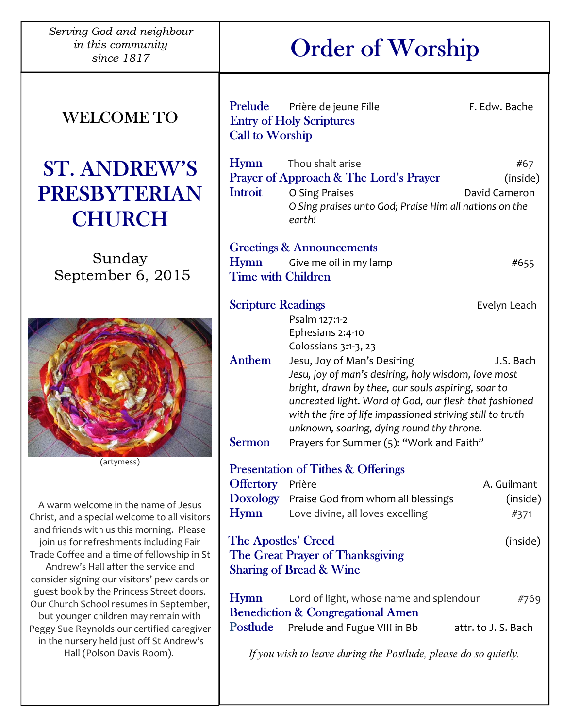Serving God and neighbour in this community

## WELCOME TO

## ST. ANDREW'S PRESBYTERIAN **CHURCH**

Sunday September 6, 2015



(artymess)

A warm welcome in the name of Jesus Christ, and a special welcome to all visitors and friends with us this morning. Please join us for refreshments including Fair Trade Coffee and a time of fellowship in St Andrew's Hall after the service and consider signing our visitors' pew cards or guest book by the Princess Street doors. Our Church School resumes in September, but younger children may remain with Peggy Sue Reynolds our certified caregiver in the nursery held just off St Andrew's Hall (Polson Davis Room).

# his community  $\sum_{\text{since }1817}$  Order of Worship

| <b>Call to Worship</b>                                                                                    | Prelude Prière de jeune Fille<br><b>Entry of Holy Scriptures</b>                                                                                                                                                                                                                                                                                                                                                                   | F. Edw. Bache                    |  |
|-----------------------------------------------------------------------------------------------------------|------------------------------------------------------------------------------------------------------------------------------------------------------------------------------------------------------------------------------------------------------------------------------------------------------------------------------------------------------------------------------------------------------------------------------------|----------------------------------|--|
| <b>Hymn</b><br>Introit                                                                                    | Thou shalt arise<br>Prayer of Approach & The Lord's Prayer<br>O Sing Praises<br>O Sing praises unto God; Praise Him all nations on the<br>earth!                                                                                                                                                                                                                                                                                   | #67<br>(inside)<br>David Cameron |  |
| <b>Hymn</b><br><b>Time with Children</b>                                                                  | <b>Greetings &amp; Announcements</b><br>Give me oil in my lamp                                                                                                                                                                                                                                                                                                                                                                     | #655                             |  |
| <b>Scripture Readings</b>                                                                                 |                                                                                                                                                                                                                                                                                                                                                                                                                                    | Evelyn Leach                     |  |
| Anthem<br><b>Sermon</b>                                                                                   | Psalm 127:1-2<br>Ephesians 2:4-10<br>Colossians 3:1-3, 23<br>Jesu, Joy of Man's Desiring<br>J.S. Bach<br>Jesu, joy of man's desiring, holy wisdom, love most<br>bright, drawn by thee, our souls aspiring, soar to<br>uncreated light. Word of God, our flesh that fashioned<br>with the fire of life impassioned striving still to truth<br>unknown, soaring, dying round thy throne.<br>Prayers for Summer (5): "Work and Faith" |                                  |  |
| <b>Presentation of Tithes &amp; Offerings</b>                                                             |                                                                                                                                                                                                                                                                                                                                                                                                                                    |                                  |  |
| Offertory Prière                                                                                          |                                                                                                                                                                                                                                                                                                                                                                                                                                    | A. Guilmant                      |  |
|                                                                                                           | Doxology Praise God from whom all blessings                                                                                                                                                                                                                                                                                                                                                                                        | (inside)                         |  |
| <b>Hymn</b>                                                                                               | Love divine, all loves excelling                                                                                                                                                                                                                                                                                                                                                                                                   | #371                             |  |
| The Apostles' Creed<br>(inside)<br>The Great Prayer of Thanksgiving<br><b>Sharing of Bread &amp; Wine</b> |                                                                                                                                                                                                                                                                                                                                                                                                                                    |                                  |  |
| <b>Hymn</b>                                                                                               | Lord of light, whose name and splendour<br><b>Benediction &amp; Congregational Amen</b>                                                                                                                                                                                                                                                                                                                                            | #769                             |  |
| <b>Postlude</b>                                                                                           | Prelude and Fugue VIII in Bb                                                                                                                                                                                                                                                                                                                                                                                                       | attr. to J. S. Bach              |  |
| If you wish to leave during the Postlude, please do so quietly.                                           |                                                                                                                                                                                                                                                                                                                                                                                                                                    |                                  |  |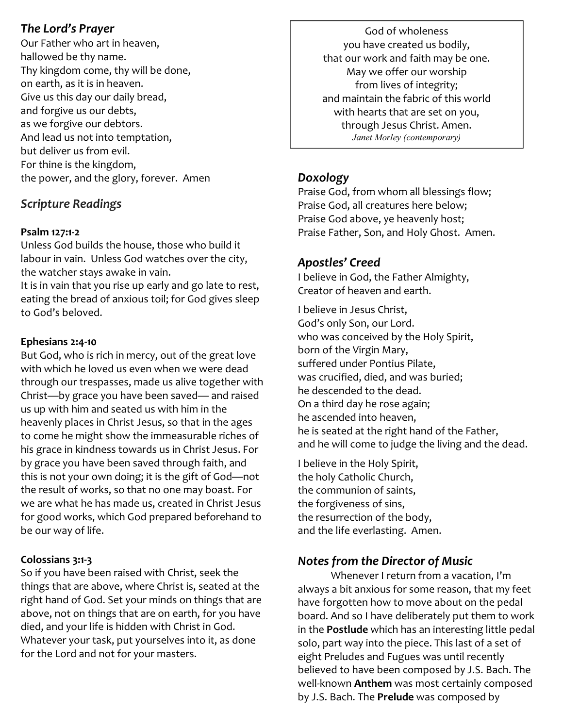## The Lord's Prayer

Our Father who art in heaven, hallowed be thy name. Thy kingdom come, thy will be done, on earth, as it is in heaven. Give us this day our daily bread, and forgive us our debts, as we forgive our debtors. And lead us not into temptation, but deliver us from evil. For thine is the kingdom, the power, and the glory, forever. Amen

## Scripture Readings

#### Psalm 127:1-2

Unless God builds the house, those who build it labour in vain. Unless God watches over the city, the watcher stays awake in vain.

It is in vain that you rise up early and go late to rest, eating the bread of anxious toil; for God gives sleep to God's beloved.

#### Ephesians 2:4-10

But God, who is rich in mercy, out of the great love with which he loved us even when we were dead through our trespasses, made us alive together with Christ—by grace you have been saved— and raised us up with him and seated us with him in the heavenly places in Christ Jesus, so that in the ages to come he might show the immeasurable riches of his grace in kindness towards us in Christ Jesus. For by grace you have been saved through faith, and this is not your own doing; it is the gift of God—not the result of works, so that no one may boast. For we are what he has made us, created in Christ Jesus for good works, which God prepared beforehand to be our way of life.

#### Colossians 3:1-3

So if you have been raised with Christ, seek the things that are above, where Christ is, seated at the right hand of God. Set your minds on things that are above, not on things that are on earth, for you have died, and your life is hidden with Christ in God. Whatever your task, put yourselves into it, as done for the Lord and not for your masters.

God of wholeness you have created us bodily, that our work and faith may be one. May we offer our worship from lives of integrity; and maintain the fabric of this world with hearts that are set on you, through Jesus Christ. Amen. Janet Morley (contemporary)

## Doxology

Praise God, from whom all blessings flow; Praise God, all creatures here below; Praise God above, ye heavenly host; Praise Father, Son, and Holy Ghost. Amen.

## Apostles' Creed

I believe in God, the Father Almighty, Creator of heaven and earth.

I believe in Jesus Christ, God's only Son, our Lord. who was conceived by the Holy Spirit, born of the Virgin Mary, suffered under Pontius Pilate, was crucified, died, and was buried; he descended to the dead. On a third day he rose again; he ascended into heaven, he is seated at the right hand of the Father, and he will come to judge the living and the dead.

I believe in the Holy Spirit, the holy Catholic Church, the communion of saints, the forgiveness of sins, the resurrection of the body, and the life everlasting. Amen.

## Notes from the Director of Music

 Whenever I return from a vacation, I'm always a bit anxious for some reason, that my feet have forgotten how to move about on the pedal board. And so I have deliberately put them to work in the Postlude which has an interesting little pedal solo, part way into the piece. This last of a set of eight Preludes and Fugues was until recently believed to have been composed by J.S. Bach. The well-known Anthem was most certainly composed by J.S. Bach. The Prelude was composed by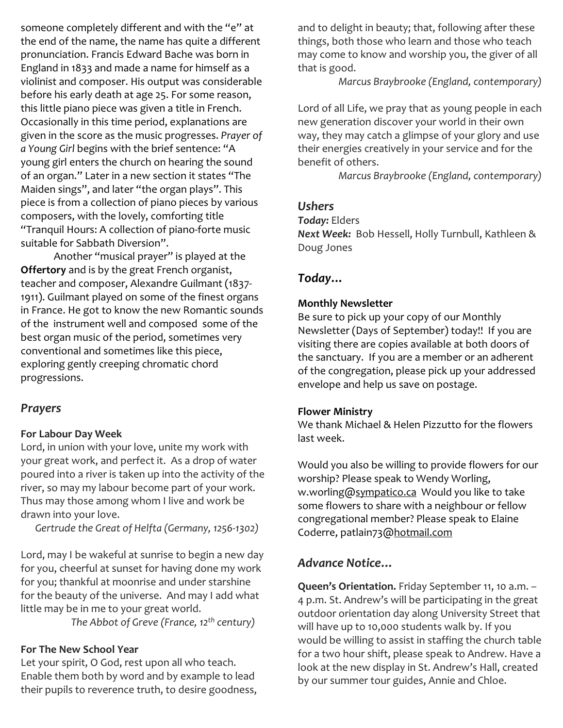someone completely different and with the "e" at the end of the name, the name has quite a different pronunciation. Francis Edward Bache was born in England in 1833 and made a name for himself as a violinist and composer. His output was considerable before his early death at age 25. For some reason, this little piano piece was given a title in French. Occasionally in this time period, explanations are given in the score as the music progresses. Prayer of a Young Girl begins with the brief sentence: "A young girl enters the church on hearing the sound of an organ." Later in a new section it states "The Maiden sings", and later "the organ plays". This piece is from a collection of piano pieces by various composers, with the lovely, comforting title "Tranquil Hours: A collection of piano-forte music suitable for Sabbath Diversion".

 Another "musical prayer" is played at the **Offertory** and is by the great French organist, teacher and composer, Alexandre Guilmant (1837- 1911). Guilmant played on some of the finest organs in France. He got to know the new Romantic sounds of the instrument well and composed some of the best organ music of the period, sometimes very conventional and sometimes like this piece, exploring gently creeping chromatic chord progressions.

#### **Prayers**

#### For Labour Day Week

Lord, in union with your love, unite my work with your great work, and perfect it. As a drop of water poured into a river is taken up into the activity of the river, so may my labour become part of your work. Thus may those among whom I live and work be drawn into your love.

Gertrude the Great of Helfta (Germany, 1256-1302)

Lord, may I be wakeful at sunrise to begin a new day for you, cheerful at sunset for having done my work for you; thankful at moonrise and under starshine for the beauty of the universe. And may I add what little may be in me to your great world.

The Abbot of Greve (France,  $12^{th}$  century)

#### For The New School Year

Let your spirit, O God, rest upon all who teach. Enable them both by word and by example to lead their pupils to reverence truth, to desire goodness, and to delight in beauty; that, following after these things, both those who learn and those who teach may come to know and worship you, the giver of all that is good.

Marcus Braybrooke (England, contemporary)

Lord of all Life, we pray that as young people in each new generation discover your world in their own way, they may catch a glimpse of your glory and use their energies creatively in your service and for the benefit of others.

Marcus Braybrooke (England, contemporary)

## Ushers

Today: Elders

Next Week: Bob Hessell, Holly Turnbull, Kathleen & Doug Jones

#### Today…

#### Monthly Newsletter

Be sure to pick up your copy of our Monthly Newsletter (Days of September) today!! If you are visiting there are copies available at both doors of the sanctuary. If you are a member or an adherent of the congregation, please pick up your addressed envelope and help us save on postage.

#### Flower Ministry

We thank Michael & Helen Pizzutto for the flowers last week.

Would you also be willing to provide flowers for our worship? Please speak to Wendy Worling, w.worling@sympatico.ca Would you like to take some flowers to share with a neighbour or fellow congregational member? Please speak to Elaine Coderre, patlain73@hotmail.com

## Advance Notice…

Queen's Orientation. Friday September 11, 10 a.m. -4 p.m. St. Andrew's will be participating in the great outdoor orientation day along University Street that will have up to 10,000 students walk by. If you would be willing to assist in staffing the church table for a two hour shift, please speak to Andrew. Have a look at the new display in St. Andrew's Hall, created by our summer tour guides, Annie and Chloe.